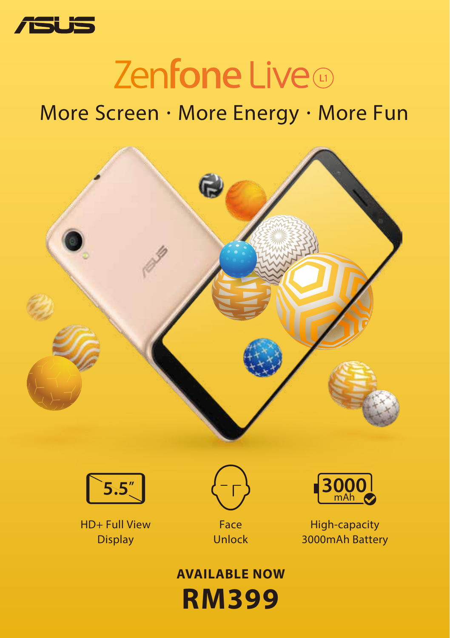

# Zenfone Live

## More Screen · More Energy · More Fun





HD+ Full View **Display** 



Unlock



High-capacity 3000mAh Battery

#### **RM399 AVAILABLE NOW**